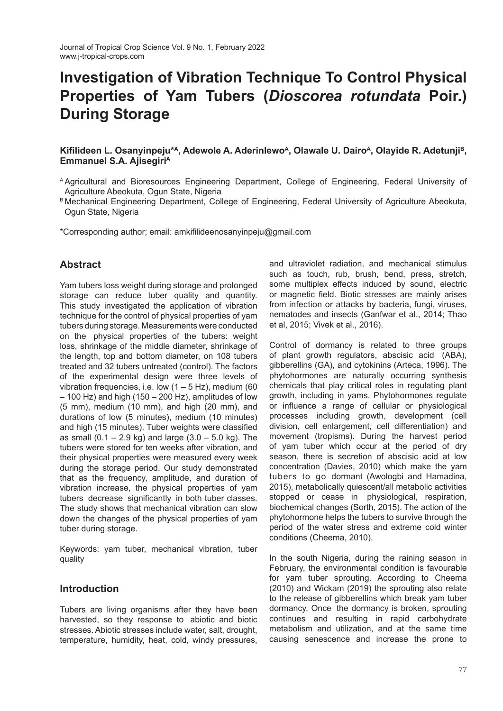# **Investigation of Vibration Technique To Control Physical Properties of Yam Tubers (***Dioscorea rotundata* **Poir.) During Storage**

## **Kifilideen L. Osanyinpeju\*<sup>A</sup>, Adewole A. Aderinlewo<sup>A</sup>, Olawale U. Dairo<sup>A</sup>, Olayide R. Adetunji<sup>B</sup>, Emmanuel S.A. Ajisegiri<sup>A</sup>**

- <sup>A</sup> Agricultural and Bioresources Engineering Department, College of Engineering, Federal University of Agriculture Abeokuta, Ogun State, Nigeria
- B Mechanical Engineering Department, College of Engineering, Federal University of Agriculture Abeokuta, Ogun State, Nigeria

\*Corresponding author; email: amkifilideenosanyinpeju@gmail.com

## **Abstract**

Yam tubers loss weight during storage and prolonged storage can reduce tuber quality and quantity. This study investigated the application of vibration technique for the control of physical properties of yam tubers during storage. Measurements were conducted on the physical properties of the tubers: weight loss, shrinkage of the middle diameter, shrinkage of the length, top and bottom diameter, on 108 tubers treated and 32 tubers untreated (control). The factors of the experimental design were three levels of vibration frequencies, i.e. low  $(1 - 5 Hz)$ , medium (60) – 100 Hz) and high (150 – 200 Hz), amplitudes of low (5 mm), medium (10 mm), and high (20 mm), and durations of low (5 minutes), medium (10 minutes) and high (15 minutes). Tuber weights were classified as small  $(0.1 - 2.9 \text{ kg})$  and large  $(3.0 - 5.0 \text{ kg})$ . The tubers were stored for ten weeks after vibration, and their physical properties were measured every week during the storage period. Our study demonstrated that as the frequency, amplitude, and duration of vibration increase, the physical properties of yam tubers decrease significantly in both tuber classes. The study shows that mechanical vibration can slow down the changes of the physical properties of yam tuber during storage.

Keywords: yam tuber, mechanical vibration, tuber quality

## **Introduction**

Tubers are living organisms after they have been harvested, so they response to abiotic and biotic stresses. Abiotic stresses include water, salt, drought, temperature, humidity, heat, cold, windy pressures, and ultraviolet radiation, and mechanical stimulus such as touch, rub, brush, bend, press, stretch, some multiplex effects induced by sound, electric or magnetic field. Biotic stresses are mainly arises from infection or attacks by bacteria, fungi, viruses, nematodes and insects (Ganfwar et al., 2014; Thao et al, 2015; Vivek et al., 2016).

Control of dormancy is related to three groups of plant growth regulators, abscisic acid (ABA), gibberellins (GA), and cytokinins (Arteca, 1996). The phytohormones are naturally occurring synthesis chemicals that play critical roles in regulating plant growth, including in yams. Phytohormones regulate or influence a range of cellular or physiological processes including growth, development (cell division, cell enlargement, cell differentiation) and movement (tropisms). During the harvest period of yam tuber which occur at the period of dry season, there is secretion of abscisic acid at low concentration (Davies, 2010) which make the yam tubers to go dormant (Awologbi and Hamadina, 2015), metabolically quiescent/all metabolic activities stopped or cease in physiological, respiration, biochemical changes (Sorth, 2015). The action of the phytohormone helps the tubers to survive through the period of the water stress and extreme cold winter conditions (Cheema, 2010).

In the south Nigeria, during the raining season in February, the environmental condition is favourable for yam tuber sprouting. According to Cheema (2010) and Wickam (2019) the sprouting also relate to the release of gibberellins which break yam tuber dormancy. Once the dormancy is broken, sprouting continues and resulting in rapid carbohydrate metabolism and utilization, and at the same time causing senescence and increase the prone to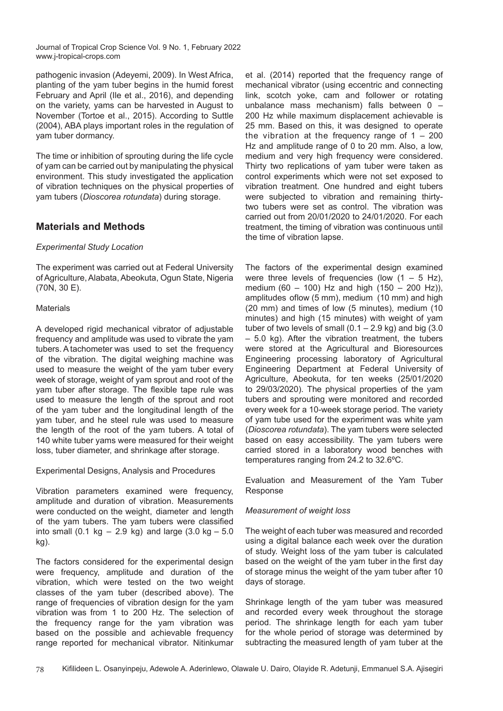pathogenic invasion (Adeyemi, 2009). In West Africa, planting of the yam tuber begins in the humid forest February and April (Ile et al., 2016), and depending on the variety, yams can be harvested in August to November (Tortoe et al., 2015). According to Suttle (2004), ABA plays important roles in the regulation of yam tuber dormancy.

The time or inhibition of sprouting during the life cycle of yam can be carried out by manipulating the physical environment. This study investigated the application of vibration techniques on the physical properties of yam tubers (*Dioscorea rotundata*) during storage.

## **Materials and Methods**

#### *Experimental Study Location*

The experiment was carried out at Federal University of Agriculture, Alabata, Abeokuta, Ogun State, Nigeria (70N, 30 E).

#### Materials

A developed rigid mechanical vibrator of adjustable frequency and amplitude was used to vibrate the yam tubers. A tachometer was used to set the frequency of the vibration. The digital weighing machine was used to measure the weight of the yam tuber every week of storage, weight of yam sprout and root of the yam tuber after storage. The flexible tape rule was used to measure the length of the sprout and root of the yam tuber and the longitudinal length of the yam tuber, and he steel rule was used to measure the length of the root of the yam tubers. A total of 140 white tuber yams were measured for their weight loss, tuber diameter, and shrinkage after storage.

Experimental Designs, Analysis and Procedures

Vibration parameters examined were frequency, amplitude and duration of vibration. Measurements were conducted on the weight, diameter and length of the yam tubers. The yam tubers were classified into small (0.1 kg – 2.9 kg) and large (3.0 kg – 5.0 kg).

The factors considered for the experimental design were frequency, amplitude and duration of the vibration, which were tested on the two weight classes of the yam tuber (described above). The range of frequencies of vibration design for the yam vibration was from 1 to 200 Hz. The selection of the frequency range for the yam vibration was based on the possible and achievable frequency range reported for mechanical vibrator. Nitinkumar et al. (2014) reported that the frequency range of mechanical vibrator (using eccentric and connecting link, scotch yoke, cam and follower or rotating unbalance mass mechanism) falls between 0 – 200 Hz while maximum displacement achievable is 25 mm. Based on this, it was designed to operate the vibration at the frequency range of  $1 - 200$ Hz and amplitude range of 0 to 20 mm. Also, a low, medium and very high frequency were considered. Thirty two replications of yam tuber were taken as control experiments which were not set exposed to vibration treatment. One hundred and eight tubers were subjected to vibration and remaining thirtytwo tubers were set as control. The vibration was carried out from 20/01/2020 to 24/01/2020. For each treatment, the timing of vibration was continuous until the time of vibration lapse.

The factors of the experimental design examined were three levels of frequencies (low  $(1 - 5$  Hz). medium (60 – 100) Hz and high  $(150 - 200$  Hz)), amplitudes of low  $(5 \text{ mm})$ , medium  $(10 \text{ mm})$  and high (20 mm) and times of low (5 minutes), medium (10 minutes) and high (15 minutes) with weight of yam tuber of two levels of small  $(0.1 - 2.9 \text{ kg})$  and big  $(3.0$ – 5.0 kg). After the vibration treatment, the tubers were stored at the Agricultural and Bioresources Engineering processing laboratory of Agricultural Engineering Department at Federal University of Agriculture, Abeokuta, for ten weeks (25/01/2020 to 29/03/2020). The physical properties of the yam tubers and sprouting were monitored and recorded every week for a 10-week storage period. The variety of yam tube used for the experiment was white yam (*Dioscorea rotundata*). The yam tubers were selected based on easy accessibility. The yam tubers were carried stored in a laboratory wood benches with temperatures ranging from 24.2 to 32.6ºC.

Evaluation and Measurement of the Yam Tuber Response

### *Measurement of weight loss*

The weight of each tuber was measured and recorded using a digital balance each week over the duration of study. Weight loss of the yam tuber is calculated based on the weight of the yam tuber in the first day of storage minus the weight of the yam tuber after 10 days of storage.

Shrinkage length of the yam tuber was measured and recorded every week throughout the storage period. The shrinkage length for each yam tuber for the whole period of storage was determined by subtracting the measured length of yam tuber at the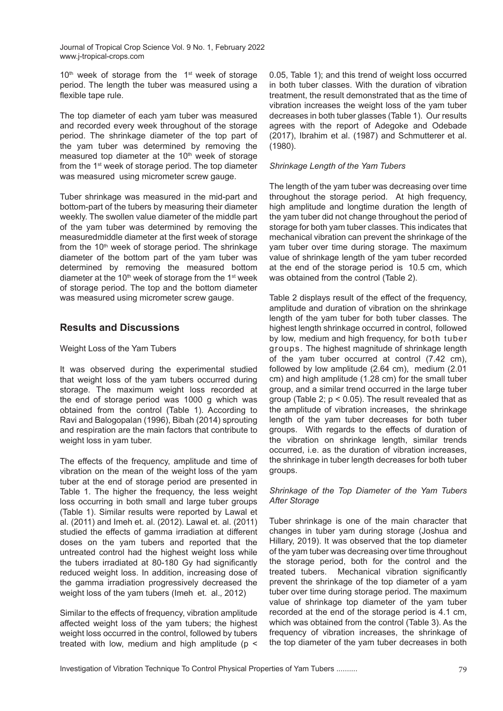$10<sup>th</sup>$  week of storage from the  $1<sup>st</sup>$  week of storage period. The length the tuber was measured using a flexible tape rule.

The top diameter of each yam tuber was measured and recorded every week throughout of the storage period. The shrinkage diameter of the top part of the yam tuber was determined by removing the measured top diameter at the  $10<sup>th</sup>$  week of storage from the 1st week of storage period. The top diameter was measured using micrometer screw gauge.

Tuber shrinkage was measured in the mid-part and bottom-part of the tubers by measuring their diameter weekly. The swollen value diameter of the middle part of the yam tuber was determined by removing the measured middle diameter at the first week of storage from the  $10<sup>th</sup>$  week of storage period. The shrinkage diameter of the bottom part of the yam tuber was determined by removing the measured bottom diameter at the 10<sup>th</sup> week of storage from the 1<sup>st</sup> week of storage period. The top and the bottom diameter was measured using micrometer screw gauge.

## **Results and Discussions**

#### Weight Loss of the Yam Tubers

It was observed during the experimental studied that weight loss of the yam tubers occurred during storage. The maximum weight loss recorded at the end of storage period was 1000 g which was obtained from the control (Table 1). According to Ravi and Balogopalan (1996), Bibah (2014) sprouting and respiration are the main factors that contribute to weight loss in yam tuber.

The effects of the frequency, amplitude and time of vibration on the mean of the weight loss of the yam tuber at the end of storage period are presented in Table 1. The higher the frequency, the less weight loss occurring in both small and large tuber groups (Table 1). Similar results were reported by Lawal et al. (2011) and Imeh et. al. (2012). Lawal et. al. (2011) studied the effects of gamma irradiation at different doses on the yam tubers and reported that the untreated control had the highest weight loss while the tubers irradiated at 80-180 Gy had significantly reduced weight loss. In addition, increasing dose of the gamma irradiation progressively decreased the weight loss of the yam tubers (Imeh et. al.*,* 2012)

Similar to the effects of frequency, vibration amplitude affected weight loss of the yam tubers; the highest weight loss occurred in the control, followed by tubers treated with low, medium and high amplitude ( $p <$ 

0.05, Table 1); and this trend of weight loss occurred in both tuber classes. With the duration of vibration treatment, the result demonstrated that as the time of vibration increases the weight loss of the yam tuber decreases in both tuber glasses (Table 1). Our results agrees with the report of Adegoke and Odebade (2017), Ibrahim et al. (1987) and Schmutterer et al. (1980).

#### *Shrinkage Length of the Yam Tubers*

The length of the yam tuber was decreasing over time throughout the storage period. At high frequency, high amplitude and longtime duration the length of the yam tuber did not change throughout the period of storage for both yam tuber classes. This indicates that mechanical vibration can prevent the shrinkage of the yam tuber over time during storage. The maximum value of shrinkage length of the yam tuber recorded at the end of the storage period is 10.5 cm, which was obtained from the control (Table 2).

Table 2 displays result of the effect of the frequency, amplitude and duration of vibration on the shrinkage length of the yam tuber for both tuber classes. The highest length shrinkage occurred in control, followed by low, medium and high frequency, for both tuber groups. The highest magnitude of shrinkage length of the yam tuber occurred at control (7.42 cm), followed by low amplitude (2.64 cm), medium (2.01 cm) and high amplitude (1.28 cm) for the small tuber group, and a similar trend occurred in the large tuber group (Table 2;  $p < 0.05$ ). The result revealed that as the amplitude of vibration increases, the shrinkage length of the yam tuber decreases for both tuber groups. With regards to the effects of duration of the vibration on shrinkage length, similar trends occurred, i.e. as the duration of vibration increases, the shrinkage in tuber length decreases for both tuber groups.

#### *Shrinkage of the Top Diameter of the Yam Tubers After Storage*

Tuber shrinkage is one of the main character that changes in tuber yam during storage (Joshua and Hillary, 2019). It was observed that the top diameter of the yam tuber was decreasing over time throughout the storage period, both for the control and the treated tubers. Mechanical vibration significantly prevent the shrinkage of the top diameter of a yam tuber over time during storage period. The maximum value of shrinkage top diameter of the yam tuber recorded at the end of the storage period is 4.1 cm, which was obtained from the control (Table 3). As the frequency of vibration increases, the shrinkage of the top diameter of the yam tuber decreases in both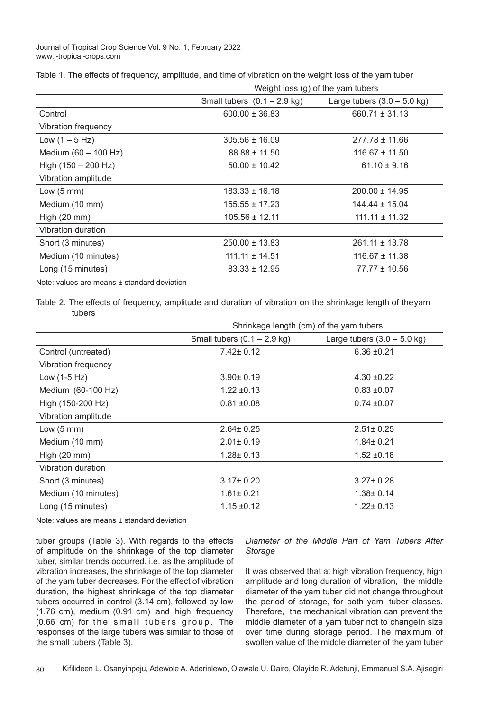| Table 1. The effects of frequency, amplitude, and time of vibration on the weight loss of the yam tuber |  |  |  |
|---------------------------------------------------------------------------------------------------------|--|--|--|
|---------------------------------------------------------------------------------------------------------|--|--|--|

|                        | Weight loss (g) of the yam tubers |                                       |  |
|------------------------|-----------------------------------|---------------------------------------|--|
|                        | Small tubers $(0.1 - 2.9$ kg)     | Large tubers $(3.0 - 5.0 \text{ kg})$ |  |
| Control                | $600.00 \pm 36.83$                | $660.71 \pm 31.13$                    |  |
| Vibration frequency    |                                   |                                       |  |
| Low $(1 - 5 Hz)$       | $305.56 \pm 16.09$                | $277.78 \pm 11.66$                    |  |
| Medium $(60 - 100$ Hz) | $88.88 \pm 11.50$                 | $116.67 \pm 11.50$                    |  |
| High $(150 - 200$ Hz)  | $50.00 \pm 10.42$                 | $61.10 \pm 9.16$                      |  |
| Vibration amplitude    |                                   |                                       |  |
| Low $(5 \text{ mm})$   | $183.33 \pm 16.18$                | $200.00 \pm 14.95$                    |  |
| Medium (10 mm)         | $155.55 \pm 17.23$                | $144.44 \pm 15.04$                    |  |
| High $(20$ mm $)$      | $105.56 \pm 12.11$                | $111.11 \pm 11.32$                    |  |
| Vibration duration     |                                   |                                       |  |
| Short (3 minutes)      | $250.00 \pm 13.83$                | $261.11 \pm 13.78$                    |  |
| Medium (10 minutes)    | $111.11 \pm 14.51$                | $116.67 \pm 11.38$                    |  |
| Long (15 minutes)      | $83.33 \pm 12.95$                 | 77.77 ± 10.56                         |  |

Note: values are means ± standard deviation

Table 2. The effects of frequency, amplitude and duration of vibration on the shrinkage length of the yam tubers

|                      | Shrinkage length (cm) of the yam tubers |                                       |  |
|----------------------|-----------------------------------------|---------------------------------------|--|
|                      | Small tubers $(0.1 - 2.9$ kg)           | Large tubers $(3.0 - 5.0 \text{ kg})$ |  |
| Control (untreated)  | $7.42 \pm 0.12$                         | $6.36 \pm 0.21$                       |  |
| Vibration frequency  |                                         |                                       |  |
| Low $(1-5 Hz)$       | $3.90 \pm 0.19$                         | $4.30 + 0.22$                         |  |
| Medium (60-100 Hz)   | $1.22 \pm 0.13$                         | $0.83 + 0.07$                         |  |
| High (150-200 Hz)    | $0.81 + 0.08$                           | $0.74 \pm 0.07$                       |  |
| Vibration amplitude  |                                         |                                       |  |
| Low $(5 \text{ mm})$ | $2.64 \pm 0.25$                         | $2.51 \pm 0.25$                       |  |
| Medium (10 mm)       | $2.01 \pm 0.19$                         | $1.84 \pm 0.21$                       |  |
| High $(20$ mm $)$    | $1.28 \pm 0.13$                         | $1.52 \pm 0.18$                       |  |
| Vibration duration   |                                         |                                       |  |
| Short (3 minutes)    | $3.17 \pm 0.20$                         | $3.27 \pm 0.28$                       |  |
| Medium (10 minutes)  | $1.61 \pm 0.21$                         | $1.38 \pm 0.14$                       |  |
| Long (15 minutes)    | $1.15 \pm 0.12$                         | $1.22 \pm 0.13$                       |  |

Note: values are means ± standard deviation

tuber groups (Table 3). With regards to the effects of amplitude on the shrinkage of the top diameter tuber, similar trends occurred, i.e. as the amplitude of vibration increases, the shrinkage of the top diameter of the yam tuber decreases. For the effect of vibration duration, the highest shrinkage of the top diameter tubers occurred in control (3.14 cm), followed by low (1.76 cm), medium (0.91 cm) and high frequency  $(0.66 \text{ cm})$  for the small tubers group. The responses of the large tubers was similar to those of the small tubers (Table 3).

*Diameter of the Middle Part of Yam Tubers After Storage* 

It was observed that at high vibration frequency, high amplitude and long duration of vibration, the middle diameter of the yam tuber did not change throughout the period of storage, for both yam tuber classes. Therefore, the mechanical vibration can prevent the middle diameter of a yam tuber not to change in size over time during storage period. The maximum of swollen value of the middle diameter of the yam tuber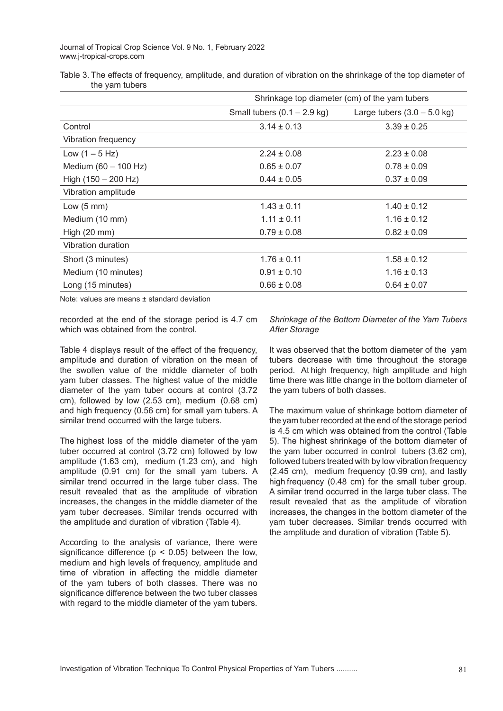Table 3. The effects of frequency, amplitude, and duration of vibration on the shrinkage of the top diameter of the yam tubers

|                       | Shrinkage top diameter (cm) of the yam tubers |                               |  |
|-----------------------|-----------------------------------------------|-------------------------------|--|
|                       | Small tubers $(0.1 - 2.9$ kg)                 | Large tubers $(3.0 - 5.0$ kg) |  |
| Control               | $3.14 \pm 0.13$                               | $3.39 \pm 0.25$               |  |
| Vibration frequency   |                                               |                               |  |
| Low $(1 - 5 Hz)$      | $2.24 \pm 0.08$                               | $2.23 \pm 0.08$               |  |
| Medium (60 - 100 Hz)  | $0.65 \pm 0.07$                               | $0.78 \pm 0.09$               |  |
| High $(150 - 200$ Hz) | $0.44 \pm 0.05$                               | $0.37 \pm 0.09$               |  |
| Vibration amplitude   |                                               |                               |  |
| Low $(5 \text{ mm})$  | $1.43 \pm 0.11$                               | $1.40 \pm 0.12$               |  |
| Medium (10 mm)        | $1.11 \pm 0.11$                               | $1.16 \pm 0.12$               |  |
| High $(20$ mm $)$     | $0.79 \pm 0.08$                               | $0.82 \pm 0.09$               |  |
| Vibration duration    |                                               |                               |  |
| Short (3 minutes)     | $1.76 \pm 0.11$                               | $1.58 \pm 0.12$               |  |
| Medium (10 minutes)   | $0.91 \pm 0.10$                               | $1.16 \pm 0.13$               |  |
| Long (15 minutes)     | $0.66 \pm 0.08$                               | $0.64 \pm 0.07$               |  |

Note: values are means ± standard deviation

recorded at the end of the storage period is 4.7 cm which was obtained from the control.

Table 4 displays result of the effect of the frequency, amplitude and duration of vibration on the mean of the swollen value of the middle diameter of both yam tuber classes. The highest value of the middle diameter of the yam tuber occurs at control (3.72 cm), followed by low (2.53 cm), medium (0.68 cm) and high frequency (0.56 cm) for small yam tubers. A similar trend occurred with the large tubers.

The highest loss of the middle diameter of the yam tuber occurred at control (3.72 cm) followed by low amplitude (1.63 cm), medium (1.23 cm), and high amplitude (0.91 cm) for the small yam tubers. A similar trend occurred in the large tuber class. The result revealed that as the amplitude of vibration increases, the changes in the middle diameter of the yam tuber decreases. Similar trends occurred with the amplitude and duration of vibration (Table 4).

According to the analysis of variance, there were significance difference ( $p < 0.05$ ) between the low, medium and high levels of frequency, amplitude and time of vibration in affecting the middle diameter of the yam tubers of both classes. There was no significance difference between the two tuber classes with regard to the middle diameter of the yam tubers.

#### *Shrinkage of the Bottom Diameter of the Yam Tubers After Storage*

It was observed that the bottom diameter of the yam tubers decrease with time throughout the storage period. At high frequency, high amplitude and high time there was little change in the bottom diameter of the yam tubers of both classes.

The maximum value of shrinkage bottom diameter of the yam tuber recorded at the end of the storage period is 4.5 cm which was obtained from the control (Table 5). The highest shrinkage of the bottom diameter of the yam tuber occurred in control tubers (3.62 cm), followed tubers treated with by low vibration frequency (2.45 cm), medium frequency (0.99 cm), and lastly high frequency (0.48 cm) for the small tuber group. A similar trend occurred in the large tuber class. The result revealed that as the amplitude of vibration increases, the changes in the bottom diameter of the yam tuber decreases. Similar trends occurred with the amplitude and duration of vibration (Table 5).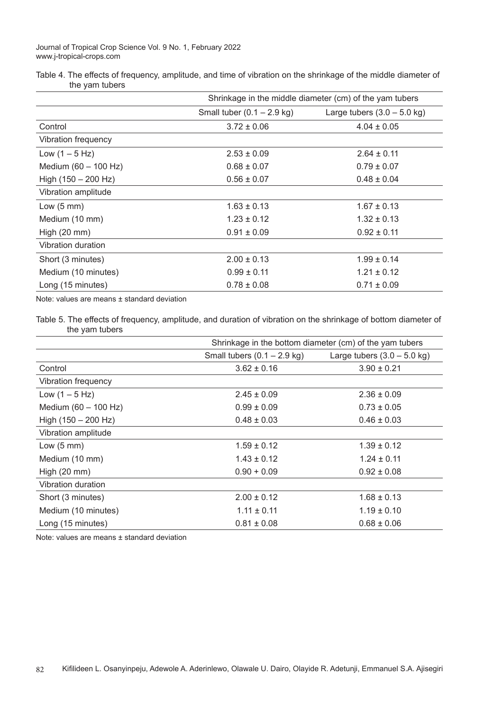| Table 4. The effects of frequency, amplitude, and time of vibration on the shrinkage of the middle diameter of |  |  |  |  |
|----------------------------------------------------------------------------------------------------------------|--|--|--|--|
| the yam tubers                                                                                                 |  |  |  |  |

|                       | Shrinkage in the middle diameter (cm) of the yam tubers |                               |  |
|-----------------------|---------------------------------------------------------|-------------------------------|--|
|                       | Small tuber $(0.1 - 2.9$ kg)                            | Large tubers $(3.0 - 5.0$ kg) |  |
| Control               | $3.72 \pm 0.06$                                         | $4.04 \pm 0.05$               |  |
| Vibration frequency   |                                                         |                               |  |
| Low $(1 - 5 Hz)$      | $2.53 \pm 0.09$                                         | $2.64 \pm 0.11$               |  |
| Medium (60 - 100 Hz)  | $0.68 \pm 0.07$                                         | $0.79 \pm 0.07$               |  |
| High $(150 - 200$ Hz) | $0.56 \pm 0.07$                                         | $0.48 \pm 0.04$               |  |
| Vibration amplitude   |                                                         |                               |  |
| Low $(5 \text{ mm})$  | $1.63 \pm 0.13$                                         | $1.67 \pm 0.13$               |  |
| Medium (10 mm)        | $1.23 \pm 0.12$                                         | $1.32 \pm 0.13$               |  |
| High $(20$ mm $)$     | $0.91 \pm 0.09$                                         | $0.92 \pm 0.11$               |  |
| Vibration duration    |                                                         |                               |  |
| Short (3 minutes)     | $2.00 \pm 0.13$                                         | $1.99 \pm 0.14$               |  |
| Medium (10 minutes)   | $0.99 \pm 0.11$                                         | $1.21 \pm 0.12$               |  |
| Long (15 minutes)     | $0.78 \pm 0.08$                                         | $0.71 \pm 0.09$               |  |

Note: values are means ± standard deviation

Table 5. The effects of frequency, amplitude, and duration of vibration on the shrinkage of bottom diameter of the yam tubers

|                        | Shrinkage in the bottom diameter (cm) of the yam tubers |                               |  |
|------------------------|---------------------------------------------------------|-------------------------------|--|
|                        | Small tubers $(0.1 - 2.9$ kg)                           | Large tubers $(3.0 - 5.0$ kg) |  |
| Control                | $3.62 \pm 0.16$                                         | $3.90 \pm 0.21$               |  |
| Vibration frequency    |                                                         |                               |  |
| Low $(1 - 5 Hz)$       | $2.45 \pm 0.09$                                         | $2.36 \pm 0.09$               |  |
| Medium $(60 - 100$ Hz) | $0.99 \pm 0.09$                                         | $0.73 \pm 0.05$               |  |
| High $(150 - 200$ Hz)  | $0.48 \pm 0.03$                                         | $0.46 \pm 0.03$               |  |
| Vibration amplitude    |                                                         |                               |  |
| Low $(5 \text{ mm})$   | $1.59 \pm 0.12$                                         | $1.39 \pm 0.12$               |  |
| Medium (10 mm)         | $1.43 \pm 0.12$                                         | $1.24 \pm 0.11$               |  |
| High $(20$ mm $)$      | $0.90 + 0.09$                                           | $0.92 \pm 0.08$               |  |
| Vibration duration     |                                                         |                               |  |
| Short (3 minutes)      | $2.00 \pm 0.12$                                         | $1.68 \pm 0.13$               |  |
| Medium (10 minutes)    | $1.11 \pm 0.11$                                         | $1.19 \pm 0.10$               |  |
| Long (15 minutes)      | $0.81 \pm 0.08$                                         | $0.68 \pm 0.06$               |  |

Note: values are means ± standard deviation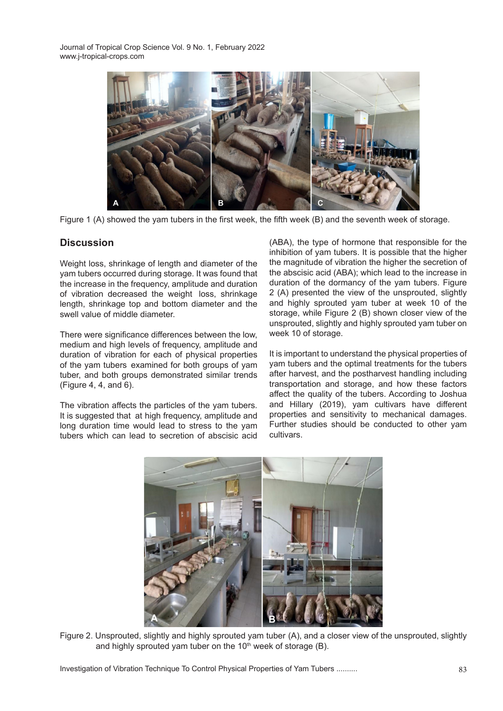

Figure 1 (A) showed the yam tubers in the first week, the fifth week (B) and the seventh week of storage.

# **Discussion**

Weight loss, shrinkage of length and diameter of the yam tubers occurred during storage. It was found that the increase in the frequency, amplitude and duration of vibration decreased the weight loss, shrinkage length, shrinkage top and bottom diameter and the swell value of middle diameter.

There were significance differences between the low, medium and high levels of frequency, amplitude and duration of vibration for each of physical properties of the yam tubers examined for both groups of yam tuber, and both groups demonstrated similar trends (Figure 4, 4, and 6).

The vibration affects the particles of the yam tubers. It is suggested that at high frequency, amplitude and long duration time would lead to stress to the yam tubers which can lead to secretion of abscisic acid (ABA), the type of hormone that responsible for the inhibition of yam tubers. It is possible that the higher the magnitude of vibration the higher the secretion of the abscisic acid (ABA); which lead to the increase in duration of the dormancy of the yam tubers. Figure 2 (A) presented the view of the unsprouted, slightly and highly sprouted yam tuber at week 10 of the storage, while Figure 2 (B) shown closer view of the unsprouted, slightly and highly sprouted yam tuber on week 10 of storage.

It is important to understand the physical properties of yam tubers and the optimal treatments for the tubers after harvest, and the postharvest handling including transportation and storage, and how these factors affect the quality of the tubers. According to Joshua and Hillary (2019), yam cultivars have different properties and sensitivity to mechanical damages. Further studies should be conducted to other yam cultivars.



Figure 2. Unsprouted, slightly and highly sprouted yam tuber (A), and a closer view of the unsprouted, slightly and highly sprouted yam tuber on the  $10<sup>th</sup>$  week of storage (B).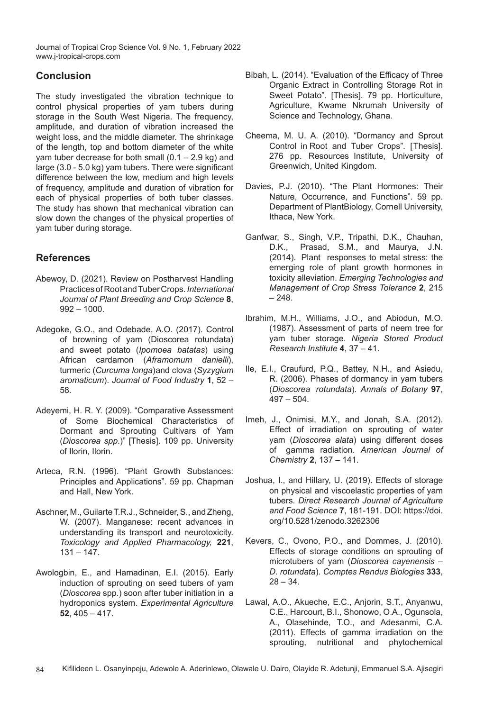# **Conclusion**

The study investigated the vibration technique to control physical properties of yam tubers during storage in the South West Nigeria. The frequency, amplitude, and duration of vibration increased the weight loss, and the middle diameter. The shrinkage of the length, top and bottom diameter of the white yam tuber decrease for both small (0.1 – 2.9 kg) and large (3.0 - 5.0 kg) yam tubers. There were significant difference between the low, medium and high levels of frequency, amplitude and duration of vibration for each of physical properties of both tuber classes. The study has shown that mechanical vibration can slow down the changes of the physical properties of yam tuber during storage.

## **References**

- Abewoy, D. (2021). Review on Postharvest Handling Practices of Root and Tuber Crops. *International Journal of Plant Breeding and Crop Science* **8**,  $992 - 1000$ .
- Adegoke, G.O., and Odebade, A.O. (2017). Control of browning of yam (Dioscorea rotundata) and sweet potato (*Ipomoea batatas*) using African cardamon (*Aframomum danielli*), turmeric (*Curcuma longa*) and clova (*Syzygium aromaticum*). *Journal of Food Industry* **1**, 52 – 58.
- Adeyemi, H. R. Y. (2009). "Comparative Assessment of Some Biochemical Characteristics of Dormant and Sprouting Cultivars of Yam (*Dioscorea spp*.)" [Thesis]. 109 pp. University of Ilorin, Ilorin.
- Arteca, R.N. (1996). "Plant Growth Substances: Principles and Applications". 59 pp. Chapman and Hall, New York.
- Aschner, M., Guilarte T.R.J., Schneider, S., and Zheng, W. (2007). Manganese: recent advances in understanding its transport and neurotoxicity. *Toxicology and Applied Pharmacology,* **221**,  $131 - 147$ .
- Awologbin, E., and Hamadinan, E.I. (2015). Early induction of sprouting on seed tubers of yam (*Dioscorea* spp.) soon after tuber initiation in a hydroponics system. *Experimental Agriculture*  **52**, 405 – 417.
- Bibah, L. (2014). "Evaluation of the Efficacy of Three Organic Extract in Controlling Storage Rot in Sweet Potato". [Thesis]. 79 pp. Horticulture, Agriculture, Kwame Nkrumah University of Science and Technology, Ghana.
- Cheema, M. U. A. (2010). "Dormancy and Sprout Control in Root and Tuber Crops". [Thesis]. 276 pp. Resources Institute, University of Greenwich, United Kingdom.
- Davies, P.J. (2010). "The Plant Hormones: Their Nature, Occurrence, and Functions". 59 pp. Department of PlantBiology, Cornell University, Ithaca, New York.
- Ganfwar, S., Singh, V.P., Tripathi, D.K., Chauhan, D.K., Prasad, S.M., and Maurya, J.N. (2014). Plant responses to metal stress: the emerging role of plant growth hormones in toxicity alleviation. *Emerging Technologies and Management of Crop Stress Tolerance* **2**, 215  $-248.$
- Ibrahim, M.H., Williams, J.O., and Abiodun, M.O. (1987). Assessment of parts of neem tree for yam tuber storage. *Nigeria Stored Product Research Institute* **4**, 37 – 41.
- Ile, E.I., Craufurd, P.Q., Battey, N.H., and Asiedu, R. (2006). Phases of dormancy in yam tubers (*Dioscorea rotundata*). *Annals of Botany* **97**,  $497 - 504$
- Imeh, J., Onimisi, M.Y., and Jonah, S.A. (2012). Effect of irradiation on sprouting of water yam (*Dioscorea alata*) using different doses of gamma radiation. *American Journal of Chemistry* **2**, 137 – 141.
- Joshua, I., and Hillary, U. (2019). Effects of storage on physical and viscoelastic properties of yam tubers. *Direct Research Journal of Agriculture and Food Science* **7**, 181-191. DOI: https://doi. org/10.5281/zenodo.3262306
- Kevers, C., Ovono, P.O., and Dommes, J. (2010). Effects of storage conditions on sprouting of microtubers of yam (*Dioscorea cayenensis – D. rotundata*). *Comptes Rendus Biologies* **333**,  $28 - 34$ .
- Lawal, A.O., Akueche, E.C., Anjorin, S.T., Anyanwu, C.E., Harcourt, B.I., Shonowo, O.A., Ogunsola, A., Olasehinde, T.O., and Adesanmi, C.A. (2011). Effects of gamma irradiation on the sprouting, nutritional and phytochemical